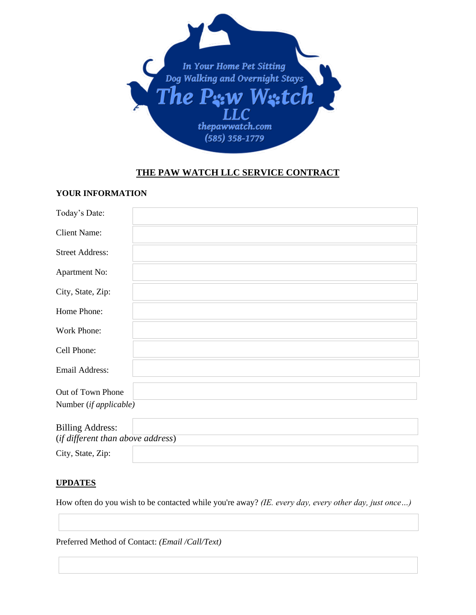

# **THE PAW WATCH LLC SERVICE CONTRACT**

### **YOUR INFORMATION**

| Today's Date:                                                |  |  |
|--------------------------------------------------------------|--|--|
| <b>Client Name:</b>                                          |  |  |
| <b>Street Address:</b>                                       |  |  |
| Apartment No:                                                |  |  |
| City, State, Zip:                                            |  |  |
| Home Phone:                                                  |  |  |
| Work Phone:                                                  |  |  |
| Cell Phone:                                                  |  |  |
| Email Address:                                               |  |  |
| Out of Town Phone                                            |  |  |
| Number (if applicable)                                       |  |  |
| <b>Billing Address:</b><br>(if different than above address) |  |  |

# City, State, Zip:

# **UPDATES**

How often do you wish to be contacted while you're away? *(IE. every day, every other day, just once…)*

Preferred Method of Contact: *(Email /Call/Text)*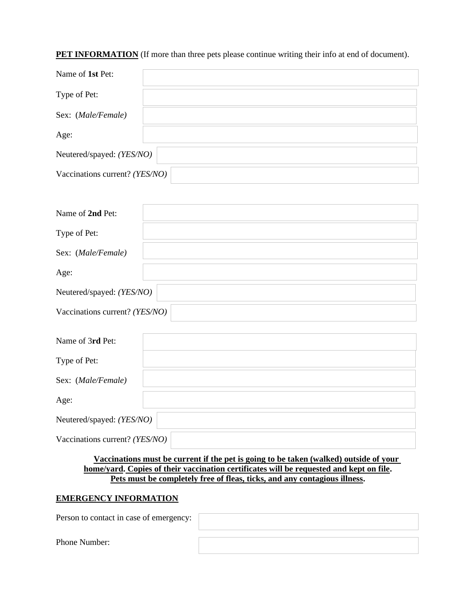# **PET INFORMATION** (If more than three pets please continue writing their info at end of document).

| Name of 1st Pet:               |  |
|--------------------------------|--|
| Type of Pet:                   |  |
| Sex: (Male/Female)             |  |
| Age:                           |  |
| Neutered/spayed: (YES/NO)      |  |
| Vaccinations current? (YES/NO) |  |
|                                |  |
| Name of 2nd Pet:               |  |
| Type of Pet:                   |  |
| Sex: (Male/Female)             |  |
| Age:                           |  |
| Neutered/spayed: (YES/NO)      |  |
| Vaccinations current? (YES/NO) |  |
| Name of 3rd Pet:               |  |
|                                |  |
| Type of Pet:                   |  |
| Sex: (Male/Female)             |  |
| Age:                           |  |
| Neutered/spayed: (YES/NO)      |  |
| Vaccinations current? (YES/NO) |  |

 **Vaccinations must be current if the pet is going to be taken (walked) outside of your home/yard. Copies of their vaccination certificates will be requested and kept on file. Pets must be completely free of fleas, ticks, and any contagious illness.** 

### **EMERGENCY INFORMATION**

Person to contact in case of emergency:

Phone Number: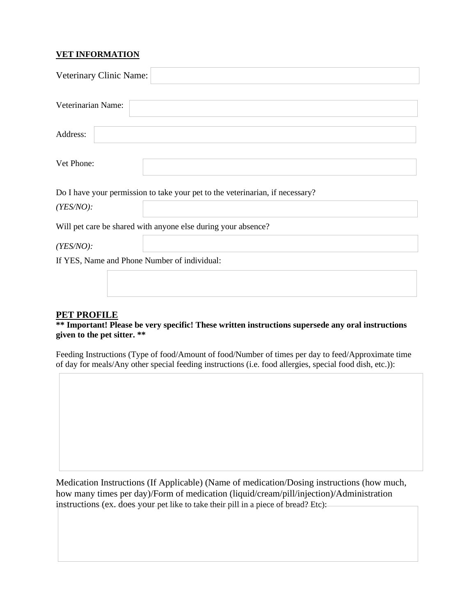# **VET INFORMATION**

| Veterinary Clinic Name:                      |                                                                               |
|----------------------------------------------|-------------------------------------------------------------------------------|
| Veterinarian Name:                           |                                                                               |
| Address:                                     |                                                                               |
| Vet Phone:                                   |                                                                               |
|                                              | Do I have your permission to take your pet to the veterinarian, if necessary? |
| $(YES/NO)$ :                                 |                                                                               |
|                                              | Will pet care be shared with anyone else during your absence?                 |
| $(YES/NO)$ :                                 |                                                                               |
| If YES, Name and Phone Number of individual: |                                                                               |
|                                              |                                                                               |

# **PET PROFILE**

**\*\* Important! Please be very specific! These written instructions supersede any oral instructions given to the pet sitter. \*\***

Feeding Instructions (Type of food/Amount of food/Number of times per day to feed/Approximate time of day for meals/Any other special feeding instructions (i.e. food allergies, special food dish, etc.)):

Medication Instructions (If Applicable) (Name of medication/Dosing instructions (how much, how many times per day)/Form of medication (liquid/cream/pill/injection)/Administration instructions (ex. does your pet like to take their pill in a piece of bread? Etc):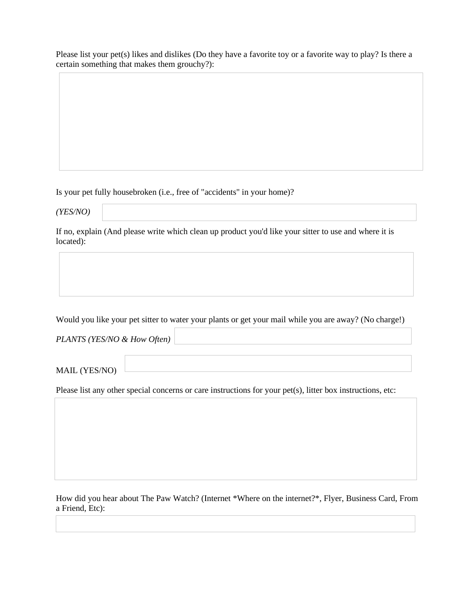Please list your pet(s) likes and dislikes (Do they have a favorite toy or a favorite way to play? Is there a certain something that makes them grouchy?):

Is your pet fully housebroken (i.e., free of "accidents" in your home)?

*(YES/NO)* 

If no, explain (And please write which clean up product you'd like your sitter to use and where it is located):

Would you like your pet sitter to water your plants or get your mail while you are away? (No charge!)

*PLANTS (YES/NO & How Often)*

MAIL (YES/NO)

Please list any other special concerns or care instructions for your pet(s), litter box instructions, etc:

How did you hear about The Paw Watch? (Internet \*Where on the internet?\*, Flyer, Business Card, From a Friend, Etc):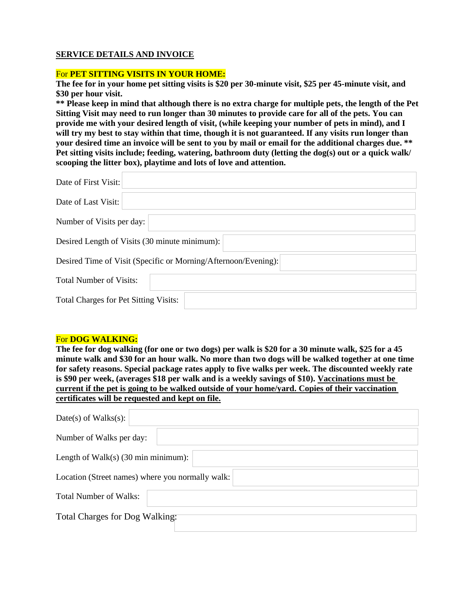# **SERVICE DETAILS AND INVOICE**

#### For **PET SITTING VISITS IN YOUR HOME:**

**The fee for in your home pet sitting visits is \$20 per 30-minute visit, \$25 per 45-minute visit, and \$30 per hour visit.**

**\*\* Please keep in mind that although there is no extra charge for multiple pets, the length of the Pet Sitting Visit may need to run longer than 30 minutes to provide care for all of the pets. You can provide me with your desired length of visit, (while keeping your number of pets in mind), and I will try my best to stay within that time, though it is not guaranteed. If any visits run longer than your desired time an invoice will be sent to you by mail or email for the additional charges due. \*\* Pet sitting visits include; feeding, watering, bathroom duty (letting the dog(s) out or a quick walk/ scooping the litter box), playtime and lots of love and attention.**

| Date of First Visit:                          |                                                                |  |  |
|-----------------------------------------------|----------------------------------------------------------------|--|--|
| Date of Last Visit:                           |                                                                |  |  |
| Number of Visits per day:                     |                                                                |  |  |
| Desired Length of Visits (30 minute minimum): |                                                                |  |  |
|                                               | Desired Time of Visit (Specific or Morning/Afternoon/Evening): |  |  |
| <b>Total Number of Visits:</b>                |                                                                |  |  |
| <b>Total Charges for Pet Sitting Visits:</b>  |                                                                |  |  |

#### For **DOG WALKING:**

**The fee for dog walking (for one or two dogs) per walk is \$20 for a 30 minute walk, \$25 for a 45 minute walk and \$30 for an hour walk. No more than two dogs will be walked together at one time for safety reasons. Special package rates apply to five walks per week. The discounted weekly rate is \$90 per week, (averages \$18 per walk and is a weekly savings of \$10). Vaccinations must be current if the pet is going to be walked outside of your home/yard. Copies of their vaccination certificates will be requested and kept on file.**

| $Date(s)$ of Walks $(s)$ :                       |
|--------------------------------------------------|
| Number of Walks per day:                         |
| Length of Walk(s) $(30 \text{ min minimum})$ :   |
| Location (Street names) where you normally walk: |
| <b>Total Number of Walks:</b>                    |
| Total Charges for Dog Walking:                   |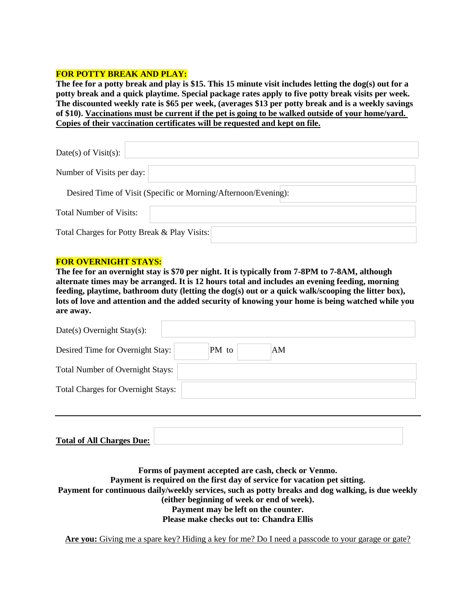#### **FOR POTTY BREAK AND PLAY:**

**The fee for a potty break and play is \$15. This 15 minute visit includes letting the dog(s) out for a potty break and a quick playtime. Special package rates apply to five potty break visits per week. The discounted weekly rate is \$65 per week, (averages \$13 per potty break and is a weekly savings of \$10). Vaccinations must be current if the pet is going to be walked outside of your home/yard. Copies of their vaccination certificates will be requested and kept on file.**

| Date(s) of Visit(s):                         |                                                                |
|----------------------------------------------|----------------------------------------------------------------|
| Number of Visits per day:                    |                                                                |
|                                              | Desired Time of Visit (Specific or Morning/Afternoon/Evening): |
| <b>Total Number of Visits:</b>               |                                                                |
| Total Charges for Potty Break & Play Visits: |                                                                |

#### **FOR OVERNIGHT STAYS:**

**The fee for an overnight stay is \$70 per night. It is typically from 7-8PM to 7-8AM, although alternate times may be arranged. It is 12 hours total and includes an evening feeding, morning feeding, playtime, bathroom duty (letting the dog(s) out or a quick walk/scooping the litter box), lots of love and attention and the added security of knowing your home is being watched while you are away.**

| Date(s) Overnight Stay(s):                |       |    |  |
|-------------------------------------------|-------|----|--|
| Desired Time for Overnight Stay:          | PM to | AM |  |
| <b>Total Number of Overnight Stays:</b>   |       |    |  |
| <b>Total Charges for Overnight Stays:</b> |       |    |  |
|                                           |       |    |  |

| <b>Total of All Charges Due:</b> |  |
|----------------------------------|--|

**Forms of payment accepted are cash, check or Venmo. Payment is required on the first day of service for vacation pet sitting. Payment for continuous daily/weekly services, such as potty breaks and dog walking, is due weekly (either beginning of week or end of week). Payment may be left on the counter. Please make checks out to: Chandra Ellis**

**Are you:** Giving me a spare key? Hiding a key for me? Do I need a passcode to your garage or gate?